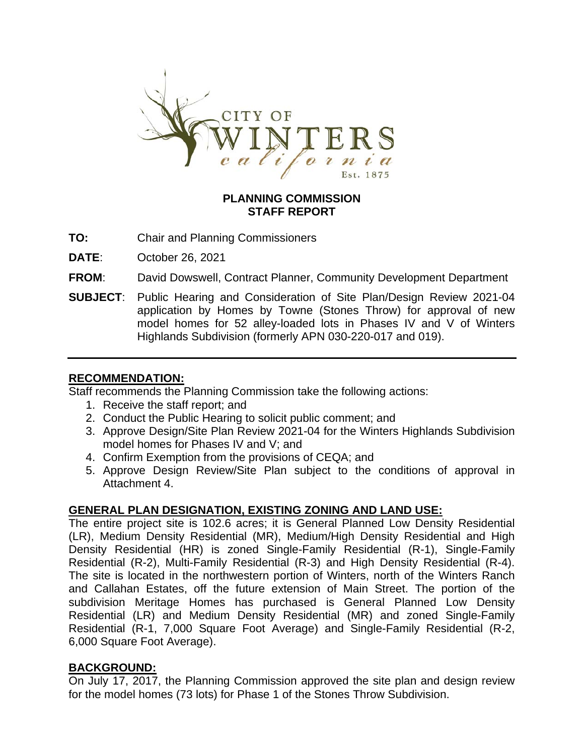

### **PLANNING COMMISSION STAFF REPORT**

- **TO:** Chair and Planning Commissioners
- **DATE**: October 26, 2021
- **FROM**: David Dowswell, Contract Planner, Community Development Department
- **SUBJECT**: Public Hearing and Consideration of Site Plan/Design Review 2021-04 application by Homes by Towne (Stones Throw) for approval of new model homes for 52 alley-loaded lots in Phases IV and V of Winters Highlands Subdivision (formerly APN 030-220-017 and 019).

#### **RECOMMENDATION:**

Staff recommends the Planning Commission take the following actions:

- 1. Receive the staff report; and
- 2. Conduct the Public Hearing to solicit public comment; and
- 3. Approve Design/Site Plan Review 2021-04 for the Winters Highlands Subdivision model homes for Phases IV and V; and
- 4. Confirm Exemption from the provisions of CEQA; and
- 5. Approve Design Review/Site Plan subject to the conditions of approval in Attachment 4.

### **GENERAL PLAN DESIGNATION, EXISTING ZONING AND LAND USE:**

The entire project site is 102.6 acres; it is General Planned Low Density Residential (LR), Medium Density Residential (MR), Medium/High Density Residential and High Density Residential (HR) is zoned Single-Family Residential (R-1), Single-Family Residential (R-2), Multi-Family Residential (R-3) and High Density Residential (R-4). The site is located in the northwestern portion of Winters, north of the Winters Ranch and Callahan Estates, off the future extension of Main Street. The portion of the subdivision Meritage Homes has purchased is General Planned Low Density Residential (LR) and Medium Density Residential (MR) and zoned Single-Family Residential (R-1, 7,000 Square Foot Average) and Single-Family Residential (R-2, 6,000 Square Foot Average).

### **BACKGROUND:**

On July 17, 2017, the Planning Commission approved the site plan and design review for the model homes (73 lots) for Phase 1 of the Stones Throw Subdivision.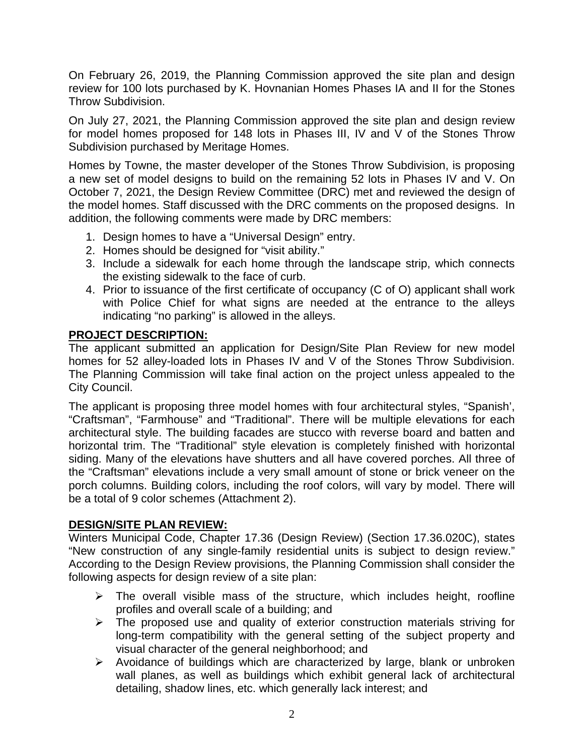On February 26, 2019, the Planning Commission approved the site plan and design review for 100 lots purchased by K. Hovnanian Homes Phases IA and II for the Stones Throw Subdivision.

On July 27, 2021, the Planning Commission approved the site plan and design review for model homes proposed for 148 lots in Phases III, IV and V of the Stones Throw Subdivision purchased by Meritage Homes.

Homes by Towne, the master developer of the Stones Throw Subdivision, is proposing a new set of model designs to build on the remaining 52 lots in Phases IV and V. On October 7, 2021, the Design Review Committee (DRC) met and reviewed the design of the model homes. Staff discussed with the DRC comments on the proposed designs. In addition, the following comments were made by DRC members:

- 1. Design homes to have a "Universal Design" entry.
- 2. Homes should be designed for "visit ability."
- 3. Include a sidewalk for each home through the landscape strip, which connects the existing sidewalk to the face of curb.
- 4. Prior to issuance of the first certificate of occupancy (C of O) applicant shall work with Police Chief for what signs are needed at the entrance to the alleys indicating "no parking" is allowed in the alleys.

# **PROJECT DESCRIPTION:**

The applicant submitted an application for Design/Site Plan Review for new model homes for 52 alley-loaded lots in Phases IV and V of the Stones Throw Subdivision. The Planning Commission will take final action on the project unless appealed to the City Council.

The applicant is proposing three model homes with four architectural styles, "Spanish', "Craftsman", "Farmhouse" and "Traditional". There will be multiple elevations for each architectural style. The building facades are stucco with reverse board and batten and horizontal trim. The "Traditional" style elevation is completely finished with horizontal siding. Many of the elevations have shutters and all have covered porches. All three of the "Craftsman" elevations include a very small amount of stone or brick veneer on the porch columns. Building colors, including the roof colors, will vary by model. There will be a total of 9 color schemes (Attachment 2).

### **DESIGN/SITE PLAN REVIEW:**

Winters Municipal Code, Chapter 17.36 (Design Review) (Section 17.36.020C), states "New construction of any single-family residential units is subject to design review." According to the Design Review provisions, the Planning Commission shall consider the following aspects for design review of a site plan:

- $\triangleright$  The overall visible mass of the structure, which includes height, roofline profiles and overall scale of a building; and
- $\triangleright$  The proposed use and quality of exterior construction materials striving for long-term compatibility with the general setting of the subject property and visual character of the general neighborhood; and
- $\triangleright$  Avoidance of buildings which are characterized by large, blank or unbroken wall planes, as well as buildings which exhibit general lack of architectural detailing, shadow lines, etc. which generally lack interest; and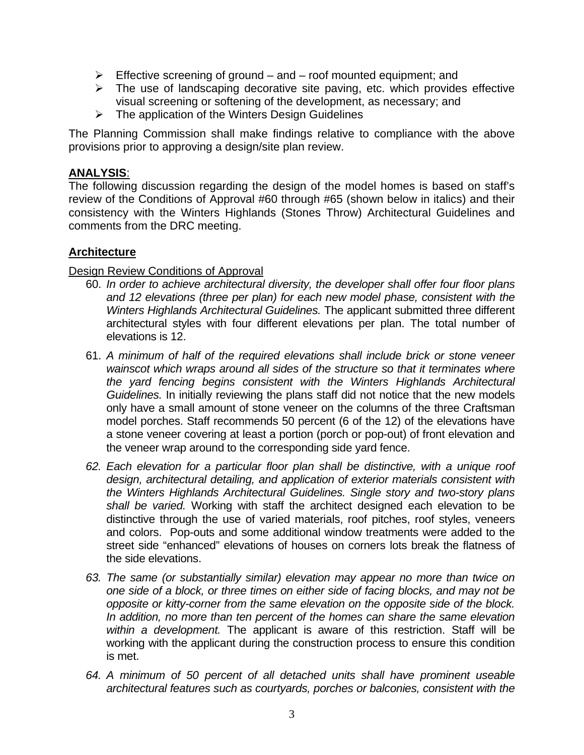- $\triangleright$  Effective screening of ground and roof mounted equipment; and
- $\triangleright$  The use of landscaping decorative site paving, etc. which provides effective visual screening or softening of the development, as necessary; and
- $\triangleright$  The application of the Winters Design Guidelines

The Planning Commission shall make findings relative to compliance with the above provisions prior to approving a design/site plan review.

# **ANALYSIS**:

The following discussion regarding the design of the model homes is based on staff's review of the Conditions of Approval #60 through #65 (shown below in italics) and their consistency with the Winters Highlands (Stones Throw) Architectural Guidelines and comments from the DRC meeting.

# **Architecture**

# Design Review Conditions of Approval

- 60. *In order to achieve architectural diversity, the developer shall offer four floor plans and 12 elevations (three per plan) for each new model phase, consistent with the Winters Highlands Architectural Guidelines.* The applicant submitted three different architectural styles with four different elevations per plan. The total number of elevations is 12.
- 61. *A minimum of half of the required elevations shall include brick or stone veneer wainscot which wraps around all sides of the structure so that it terminates where the yard fencing begins consistent with the Winters Highlands Architectural Guidelines.* In initially reviewing the plans staff did not notice that the new models only have a small amount of stone veneer on the columns of the three Craftsman model porches. Staff recommends 50 percent (6 of the 12) of the elevations have a stone veneer covering at least a portion (porch or pop-out) of front elevation and the veneer wrap around to the corresponding side yard fence.
- *62. Each elevation for a particular floor plan shall be distinctive, with a unique roof design, architectural detailing, and application of exterior materials consistent with the Winters Highlands Architectural Guidelines. Single story and two-story plans shall be varied.* Working with staff the architect designed each elevation to be distinctive through the use of varied materials, roof pitches, roof styles, veneers and colors. Pop-outs and some additional window treatments were added to the street side "enhanced" elevations of houses on corners lots break the flatness of the side elevations.
- *63. The same (or substantially similar) elevation may appear no more than twice on one side of a block, or three times on either side of facing blocks, and may not be opposite or kitty-corner from the same elevation on the opposite side of the block. In addition, no more than ten percent of the homes can share the same elevation within a development.* The applicant is aware of this restriction. Staff will be working with the applicant during the construction process to ensure this condition is met.
- *64. A minimum of 50 percent of all detached units shall have prominent useable architectural features such as courtyards, porches or balconies, consistent with the*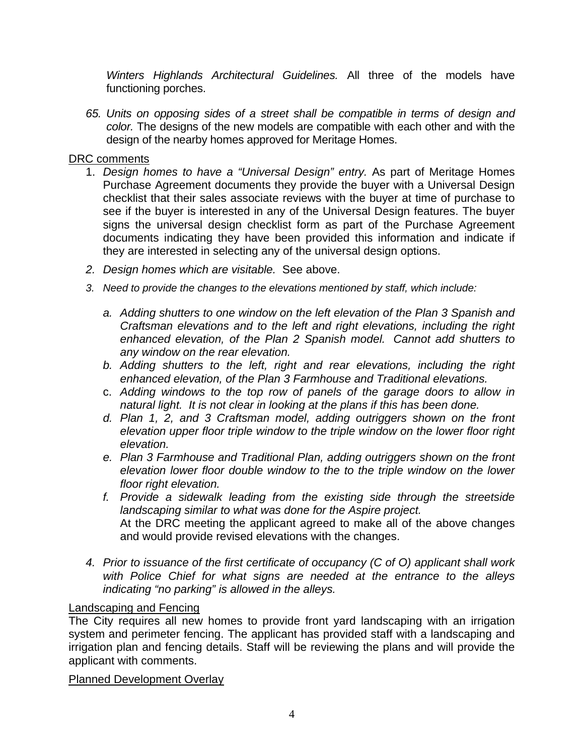*Winters Highlands Architectural Guidelines.* All three of the models have functioning porches.

*65. Units on opposing sides of a street shall be compatible in terms of design and color.* The designs of the new models are compatible with each other and with the design of the nearby homes approved for Meritage Homes.

# DRC comments

- 1. *Design homes to have a "Universal Design" entry.* As part of Meritage Homes Purchase Agreement documents they provide the buyer with a Universal Design checklist that their sales associate reviews with the buyer at time of purchase to see if the buyer is interested in any of the Universal Design features. The buyer signs the universal design checklist form as part of the Purchase Agreement documents indicating they have been provided this information and indicate if they are interested in selecting any of the universal design options.
- *2. Design homes which are visitable.* See above.
- *3. Need to provide the changes to the elevations mentioned by staff, which include:* 
	- *a. Adding shutters to one window on the left elevation of the Plan 3 Spanish and Craftsman elevations and to the left and right elevations, including the right enhanced elevation, of the Plan 2 Spanish model. Cannot add shutters to any window on the rear elevation.*
	- *b. Adding shutters to the left, right and rear elevations, including the right enhanced elevation, of the Plan 3 Farmhouse and Traditional elevations.*
	- c. *Adding windows to the top row of panels of the garage doors to allow in natural light. It is not clear in looking at the plans if this has been done.*
	- *d. Plan 1, 2, and 3 Craftsman model, adding outriggers shown on the front elevation upper floor triple window to the triple window on the lower floor right elevation.*
	- *e. Plan 3 Farmhouse and Traditional Plan, adding outriggers shown on the front elevation lower floor double window to the to the triple window on the lower floor right elevation.*
	- *f. Provide a sidewalk leading from the existing side through the streetside landscaping similar to what was done for the Aspire project.*  At the DRC meeting the applicant agreed to make all of the above changes and would provide revised elevations with the changes.
- *4. Prior to issuance of the first certificate of occupancy (C of O) applicant shall work with Police Chief for what signs are needed at the entrance to the alleys indicating "no parking" is allowed in the alleys.*

# Landscaping and Fencing

The City requires all new homes to provide front yard landscaping with an irrigation system and perimeter fencing. The applicant has provided staff with a landscaping and irrigation plan and fencing details. Staff will be reviewing the plans and will provide the applicant with comments.

Planned Development Overlay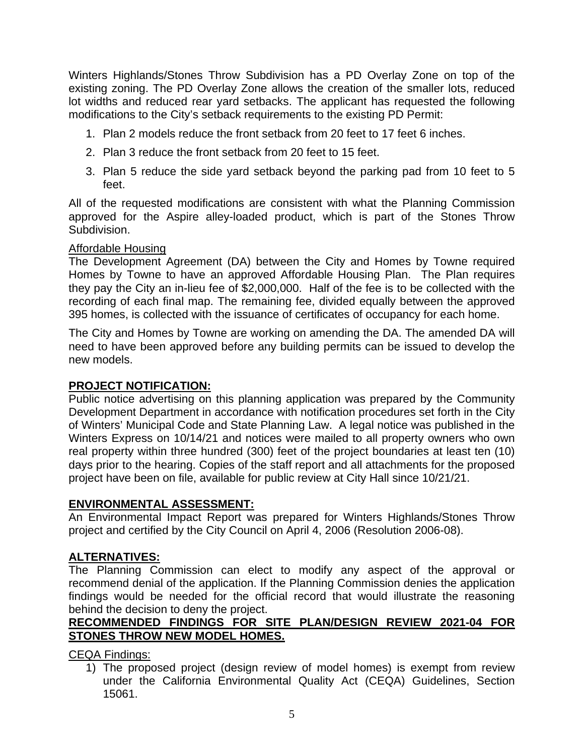Winters Highlands/Stones Throw Subdivision has a PD Overlay Zone on top of the existing zoning. The PD Overlay Zone allows the creation of the smaller lots, reduced lot widths and reduced rear yard setbacks. The applicant has requested the following modifications to the City's setback requirements to the existing PD Permit:

- 1. Plan 2 models reduce the front setback from 20 feet to 17 feet 6 inches.
- 2. Plan 3 reduce the front setback from 20 feet to 15 feet.
- 3. Plan 5 reduce the side yard setback beyond the parking pad from 10 feet to 5 feet.

All of the requested modifications are consistent with what the Planning Commission approved for the Aspire alley-loaded product, which is part of the Stones Throw Subdivision.

# Affordable Housing

The Development Agreement (DA) between the City and Homes by Towne required Homes by Towne to have an approved Affordable Housing Plan. The Plan requires they pay the City an in-lieu fee of \$2,000,000. Half of the fee is to be collected with the recording of each final map. The remaining fee, divided equally between the approved 395 homes, is collected with the issuance of certificates of occupancy for each home.

The City and Homes by Towne are working on amending the DA. The amended DA will need to have been approved before any building permits can be issued to develop the new models.

# **PROJECT NOTIFICATION:**

Public notice advertising on this planning application was prepared by the Community Development Department in accordance with notification procedures set forth in the City of Winters' Municipal Code and State Planning Law. A legal notice was published in the Winters Express on 10/14/21 and notices were mailed to all property owners who own real property within three hundred (300) feet of the project boundaries at least ten (10) days prior to the hearing. Copies of the staff report and all attachments for the proposed project have been on file, available for public review at City Hall since 10/21/21.

# **ENVIRONMENTAL ASSESSMENT:**

An Environmental Impact Report was prepared for Winters Highlands/Stones Throw project and certified by the City Council on April 4, 2006 (Resolution 2006-08).

# **ALTERNATIVES:**

The Planning Commission can elect to modify any aspect of the approval or recommend denial of the application. If the Planning Commission denies the application findings would be needed for the official record that would illustrate the reasoning behind the decision to deny the project.

# **RECOMMENDED FINDINGS FOR SITE PLAN/DESIGN REVIEW 2021-04 FOR STONES THROW NEW MODEL HOMES.**

CEQA Findings:

1) The proposed project (design review of model homes) is exempt from review under the California Environmental Quality Act (CEQA) Guidelines, Section 15061.